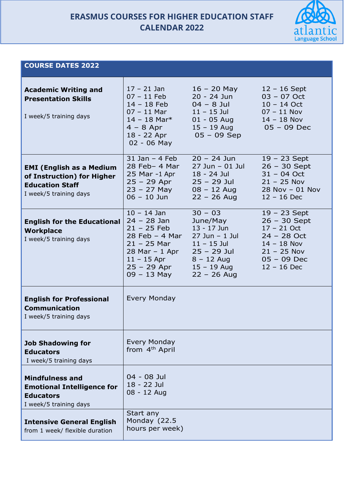# **ERASMUS COURSES FOR HIGHER EDUCATION STAFF CALENDAR 2022**



## **COURSE DATES 2022**

| <b>Academic Writing and</b><br><b>Presentation Skills</b><br>I week/5 training days                               | $17 - 21$ Jan<br>$07 - 11$ Feb<br>$14 - 18$ Feb<br>$07 - 11$ Mar<br>$14 - 18$ Mar <sup>*</sup><br>$4 - 8$ Apr<br>18 - 22 Apr<br>$02 - 06$ May                 | $16 - 20$ May<br>20 - 24 Jun<br>$04 - 8$ Jul<br>$11 - 15$ Jul<br>$01 - 05$ Aug<br>$15 - 19$ Aug<br>$05 - 09$ Sep                               | $12 - 16$ Sept<br>$03 - 07$ Oct<br>$10 - 14$ Oct<br>$07 - 11$ Nov<br>$14 - 18$ Nov<br>$05 - 09$ Dec                                    |
|-------------------------------------------------------------------------------------------------------------------|---------------------------------------------------------------------------------------------------------------------------------------------------------------|------------------------------------------------------------------------------------------------------------------------------------------------|----------------------------------------------------------------------------------------------------------------------------------------|
| <b>EMI (English as a Medium</b><br>of Instruction) for Higher<br><b>Education Staff</b><br>I week/5 training days | $31$ Jan $-$ 4 Feb<br>$28$ Feb- 4 Mar<br>25 Mar -1 Apr<br>$25 - 29$ Apr<br>$23 - 27$ May<br>$06 - 10$ Jun                                                     | $20 - 24$ Jun<br>$27$ Jun - 01 Jul<br>18 - 24 Jul<br>$25 - 29$ Jul<br>$08 - 12$ Aug<br>$22 - 26$ Aug                                           | $19 - 23$ Sept<br>$26 - 30$ Sept<br>$31 - 04$ Oct<br>$21 - 25$ Nov<br>$28$ Nov - 01 Nov<br>$12 - 16$ Dec                               |
| <b>English for the Educational</b><br><b>Workplace</b><br>I week/5 training days                                  | $10 - 14$ Jan<br>$24 - 28$ Jan<br>$21 - 25$ Feb<br>$28$ Feb $-$ 4 Mar<br>$21 - 25$ Mar<br>$28$ Mar - 1 Apr<br>$11 - 15$ Apr<br>$25 - 29$ Apr<br>$09 - 13$ May | $30 - 03$<br>June/May<br>$13 - 17$ Jun<br>$27$ Jun - 1 Jul<br>$11 - 15$ Jul<br>$25 - 29$ Jul<br>$8 - 12$ Aug<br>$15 - 19$ Aug<br>$22 - 26$ Aug | $19 - 23$ Sept<br>$26 - 30$ Sept<br>$17 - 21$ Oct<br>$24 - 28$ Oct<br>$14 - 18$ Nov<br>$21 - 25$ Nov<br>$05 - 09$ Dec<br>$12 - 16$ Dec |
| <b>English for Professional</b><br><b>Communication</b><br>I week/5 training days                                 | <b>Every Monday</b>                                                                                                                                           |                                                                                                                                                |                                                                                                                                        |
| <b>Job Shadowing for</b><br><b>Educators</b><br>I week/5 training days                                            | <b>Every Monday</b><br>from 4 <sup>th</sup> April                                                                                                             |                                                                                                                                                |                                                                                                                                        |
| <b>Mindfulness and</b><br><b>Emotional Intelligence for</b><br><b>Educators</b><br>I week/5 training days         | 04 - 08 Jul<br>18 - 22 Jul<br>08 - 12 Aug                                                                                                                     |                                                                                                                                                |                                                                                                                                        |
| <b>Intensive General English</b><br>from 1 week/ flexible duration                                                | Start any<br>Monday (22.5<br>hours per week)                                                                                                                  |                                                                                                                                                |                                                                                                                                        |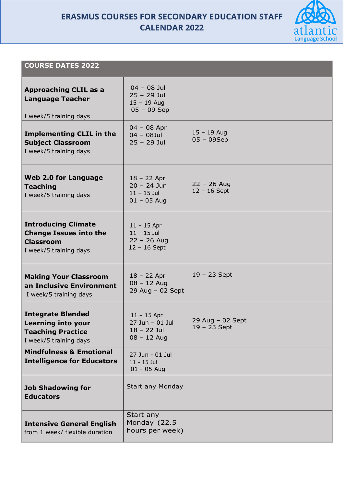**ERASMUS COURSES FOR SECONDARY EDUCATION STAFF CALENDAR 2022**



## **COURSE DATES 2022**

| <b>Approaching CLIL as a</b><br><b>Language Teacher</b><br>I week/5 training days                           | $04 - 08$ Jul<br>$25 - 29$ Jul<br>$15 - 19$ Aug<br>$05 - 09$ Sep   |                                      |
|-------------------------------------------------------------------------------------------------------------|--------------------------------------------------------------------|--------------------------------------|
| <b>Implementing CLIL in the</b><br><b>Subject Classroom</b><br>I week/5 training days                       | $04 - 08$ Apr<br>$04 - 08$ Jul<br>$25 - 29$ Jul                    | $15 - 19$ Aug<br>$05 - 09$ Sep       |
| <b>Web 2.0 for Language</b><br><b>Teaching</b><br>I week/5 training days                                    | $18 - 22$ Apr<br>$20 - 24$ Jun<br>$11 - 15$ Jul<br>$01 - 05$ Aug   | $22 - 26$ Aug<br>$12 - 16$ Sept      |
| <b>Introducing Climate</b><br><b>Change Issues into the</b><br><b>Classroom</b><br>I week/5 training days   | $11 - 15$ Apr<br>$11 - 15$ Jul<br>$22 - 26$ Aug<br>$12 - 16$ Sept  |                                      |
| <b>Making Your Classroom</b><br>an Inclusive Environment<br>I week/5 training days                          | $18 - 22$ Apr<br>$08 - 12$ Aug<br>$29$ Aug - 02 Sept               | $19 - 23$ Sept                       |
| <b>Integrate Blended</b><br><b>Learning into your</b><br><b>Teaching Practice</b><br>I week/5 training days | $11 - 15$ Apr<br>27 Jun - 01 Jul<br>$18 - 22$ Jul<br>$08 - 12$ Aug | $29$ Aug - 02 Sept<br>$19 - 23$ Sept |
| <b>Mindfulness &amp; Emotional</b><br><b>Intelligence for Educators</b>                                     | 27 Jun - 01 Jul<br>$11 - 15$ Jul<br>$01 - 05$ Aug                  |                                      |
| <b>Job Shadowing for</b><br><b>Educators</b>                                                                | <b>Start any Monday</b>                                            |                                      |
| <b>Intensive General English</b><br>from 1 week/ flexible duration                                          | Start any<br>Monday (22.5<br>hours per week)                       |                                      |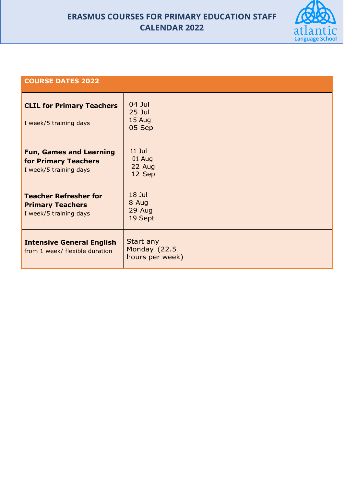# **ERASMUS COURSES FOR PRIMARY EDUCATION STAFF CALENDAR 2022**



#### **COURSE DATES 2022**

| <b>CLIL for Primary Teachers</b><br>I week/5 training days                        | 04 Jul<br>$25$ Jul<br>15 Aug<br>05 Sep       |
|-----------------------------------------------------------------------------------|----------------------------------------------|
| <b>Fun, Games and Learning</b><br>for Primary Teachers<br>I week/5 training days  | $11$ Jul<br>01 Aug<br>22 Aug<br>12 Sep       |
| <b>Teacher Refresher for</b><br><b>Primary Teachers</b><br>I week/5 training days | 18 Jul<br>8 Aug<br>29 Aug<br>19 Sept         |
| <b>Intensive General English</b><br>from 1 week/ flexible duration                | Start any<br>Monday (22.5<br>hours per week) |